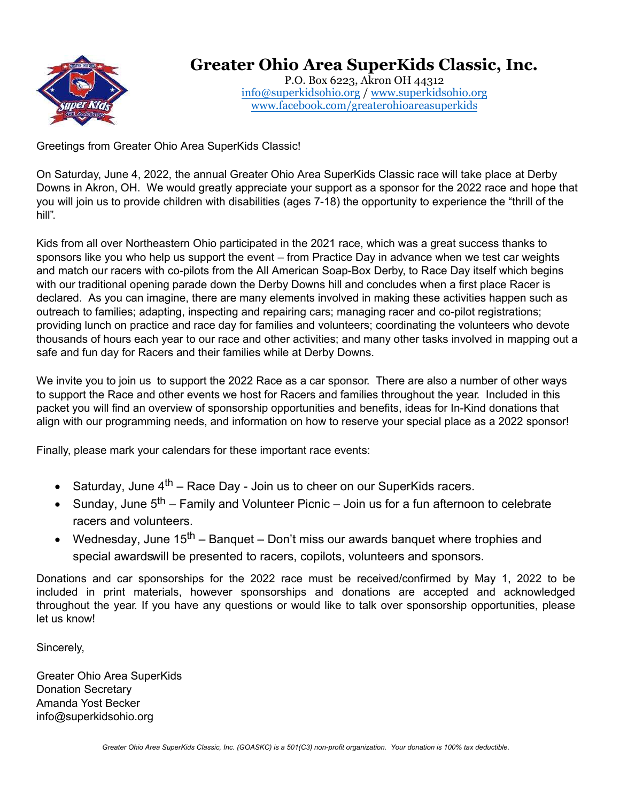

# **Greater Ohio Area SuperKids Classic, Inc.**

P.O. Box 6223, Akron OH 44312 [info@superkidsohio.org](mailto:info@superkidsohio.org) / [www.superkidsohio.org](http://www.superkidsohio.org/) [www.facebook.com/greaterohioareasuperkids](http://www.facebook.com/greaterohioareasuperkids)

Greetings from Greater Ohio Area SuperKids Classic!

On Saturday, June 4, 2022, the annual Greater Ohio Area SuperKids Classic race will take place at Derby Downs in Akron, OH. We would greatly appreciate your support as a sponsor for the 2022 race and hope that you will join us to provide children with disabilities (ages 7-18) the opportunity to experience the "thrill of the hill".

Kids from all over Northeastern Ohio participated in the 2021 race, which was a great success thanks to sponsors like you who help us support the event – from Practice Day in advance when we test car weights and match our racers with co-pilots from the All American Soap-Box Derby, to Race Day itself which begins with our traditional opening parade down the Derby Downs hill and concludes when a first place Racer is declared. As you can imagine, there are many elements involved in making these activities happen such as outreach to families; adapting, inspecting and repairing cars; managing racer and co-pilot registrations; providing lunch on practice and race day for families and volunteers; coordinating the volunteers who devote thousands of hours each year to our race and other activities; and many other tasks involved in mapping out a safe and fun day for Racers and their families while at Derby Downs.

We invite you to join us to support the 2022 Race as a car sponsor. There are also a number of other ways to support the Race and other events we host for Racers and families throughout the year. Included in this packet you will find an overview of sponsorship opportunities and benefits, ideas for In-Kind donations that align with our programming needs, and information on how to reserve your special place as a 2022 sponsor!

Finally, please mark your calendars for these important race events:

- Saturday, June  $4^{th}$  Race Day Join us to cheer on our SuperKids racers.
- Sunday, June  $5<sup>th</sup>$  Family and Volunteer Picnic Join us for a fun afternoon to celebrate racers and volunteers.
- Wednesday, June 15<sup>th</sup> Banquet Don't miss our awards banquet where trophies and special awards will be presented to racers, copilots, volunteers and sponsors.

Donations and car sponsorships for the 2022 race must be received/confirmed by May 1, 2022 to be included in print materials, however sponsorships and donations are accepted and acknowledged throughout the year. If you have any questions or would like to talk over sponsorship opportunities, please let us know!

Sincerely,

Greater Ohio Area SuperKids Donation Secretary Amanda Yost Becker info@superkidsohio.org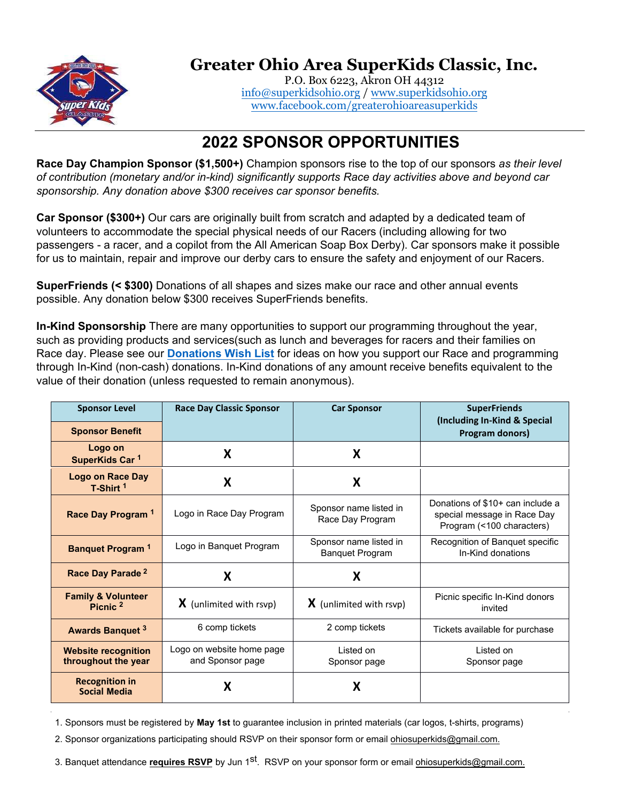

# **Greater Ohio Area SuperKids Classic, Inc.**

P.O. Box 6223, Akron OH 44312 [info@superkidsohio.org](mailto:info@superkidsohio.org) / [www.superkidsohio.org](http://www.superkidsohio.org/) [www.facebook.com/greaterohioareasuperkids](http://www.facebook.com/greaterohioareasuperkids)

### **2022 SPONSOR OPPORTUNITIES**

**Race Day Champion Sponsor (\$1,500+)** Champion sponsors rise to the top of our sponsors *as their level of contribution (monetary and/or in-kind) significantly supports Race day activities above and beyond car sponsorship. Any donation above \$300 receives car sponsor benefits.* 

**Car Sponsor (\$300+)** Our cars are originally built from scratch and adapted by a dedicated team of volunteers to accommodate the special physical needs of our Racers (including allowing for two passengers - a racer, and a copilot from the All American Soap Box Derby). Car sponsors make it possible for us to maintain, repair and improve our derby cars to ensure the safety and enjoyment of our Racers.

**SuperFriends (< \$300)** Donations of all shapes and sizes make our race and other annual events possible. Any donation below \$300 receives SuperFriends benefits.

**In-Kind Sponsorship** There are many opportunities to support our programming throughout the year, such as providing products and services(such as lunch and beverages for racers and their families on Race day. Please see our **[Donations Wish List](http://superkidsohio.org/wp-content/uploads/2018/11/OHSuperkids_donationwishlist112618.pdf)** for ideas on how you support our Race and programming through In-Kind (non-cash) donations. In-Kind donations of any amount receive benefits equivalent to the value of their donation (unless requested to remain anonymous).

| <b>Sponsor Level</b><br><b>Sponsor Benefit</b>       | <b>Race Day Classic Sponsor</b>               | <b>Car Sponsor</b>                               | <b>SuperFriends</b><br>(Including In-Kind & Special<br>Program donors)                       |
|------------------------------------------------------|-----------------------------------------------|--------------------------------------------------|----------------------------------------------------------------------------------------------|
| Logo on<br>SuperKids Car <sup>1</sup>                | X                                             | X                                                |                                                                                              |
| <b>Logo on Race Day</b><br>T-Shirt <sup>1</sup>      | X                                             | X                                                |                                                                                              |
| Race Day Program <sup>1</sup>                        | Logo in Race Day Program                      | Sponsor name listed in<br>Race Day Program       | Donations of \$10+ can include a<br>special message in Race Day<br>Program (<100 characters) |
| <b>Banquet Program 1</b>                             | Logo in Banquet Program                       | Sponsor name listed in<br><b>Banquet Program</b> | Recognition of Banquet specific<br>In-Kind donations                                         |
| Race Day Parade <sup>2</sup>                         | X                                             | X                                                |                                                                                              |
| <b>Family &amp; Volunteer</b><br>Picnic <sup>2</sup> | $\bm{X}$ (unlimited with rsvp)                | $\bm{X}$ (unlimited with rsvp)                   | Picnic specific In-Kind donors<br>invited                                                    |
| <b>Awards Banquet 3</b>                              | 6 comp tickets                                | 2 comp tickets                                   | Tickets available for purchase                                                               |
| <b>Website recognition</b><br>throughout the year    | Logo on website home page<br>and Sponsor page | Listed on<br>Sponsor page                        | Listed on<br>Sponsor page                                                                    |
| <b>Recognition in</b><br><b>Social Media</b>         | X                                             | X                                                |                                                                                              |

1. Sponsors must be registered by **May 1st** to guarantee inclusion in printed materials (car logos, t-shirts, programs)

2. Sponsor organizations participating should RSVP on their sponsor form or email ohiosuperkids@gmail.com.

3. Banquet attendance <mark>requires RSVP</mark> by Jun 1<sup>st</sup>. RSVP on your sponsor form or email <u>ohiosuperkids@gmail.com.</u>